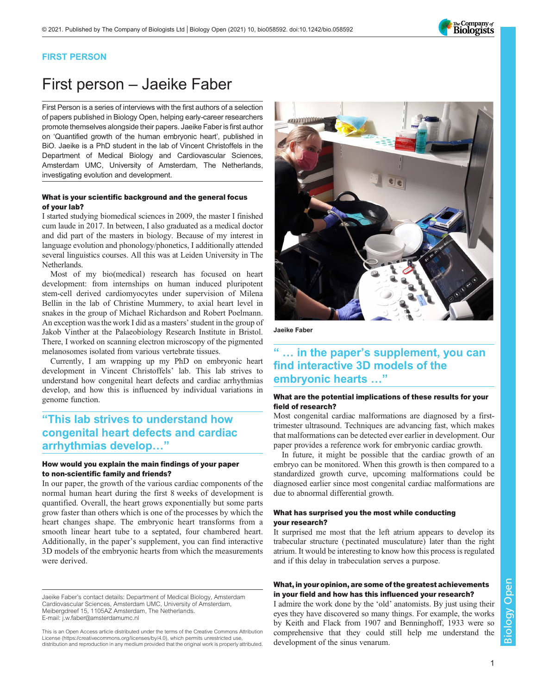## FIRST PERSON

# First person – Jaeike Faber

First Person is a series of interviews with the first authors of a selection of papers published in Biology Open, helping early-career researchers promote themselves alongside their papers. Jaeike Faber is first author on '[Quantified growth of the human embryonic heart](#page-1-0)', published in BiO. Jaeike is a PhD student in the lab of Vincent Christoffels in the Department of Medical Biology and Cardiovascular Sciences, Amsterdam UMC, University of Amsterdam, The Netherlands, investigating evolution and development.

#### What is your scientific background and the general focus of your lab?

I started studying biomedical sciences in 2009, the master I finished cum laude in 2017. In between, I also graduated as a medical doctor and did part of the masters in biology. Because of my interest in language evolution and phonology/phonetics, I additionally attended several linguistics courses. All this was at Leiden University in The Netherlands.

Most of my bio(medical) research has focused on heart development: from internships on human induced pluripotent stem-cell derived cardiomyocytes under supervision of Milena Bellin in the lab of Christine Mummery, to axial heart level in snakes in the group of Michael Richardson and Robert Poelmann. An exception was the work I did as a masters' student in the group of Jakob Vinther at the Palaeobiology Research Institute in Bristol. There, I worked on scanning electron microscopy of the pigmented melanosomes isolated from various vertebrate tissues.

Currently, I am wrapping up my PhD on embryonic heart development in Vincent Christoffels' lab. This lab strives to understand how congenital heart defects and cardiac arrhythmias develop, and how this is influenced by individual variations in genome function.

## "This lab strives to understand how congenital heart defects and cardiac arrhythmias develop…"

#### How would you explain the main findings of your paper to non-scientific family and friends?

In our paper, the growth of the various cardiac components of the normal human heart during the first 8 weeks of development is quantified. Overall, the heart grows exponentially but some parts grow faster than others which is one of the processes by which the heart changes shape. The embryonic heart transforms from a smooth linear heart tube to a septated, four chambered heart. Additionally, in the paper's supplement, you can find interactive 3D models of the embryonic hearts from which the measurements were derived.

Jaeike Faber's contact details: Department of Medical Biology, Amsterdam Cardiovascular Sciences, Amsterdam UMC, University of Amsterdam, Meibergdreef 15, 1105AZ Amsterdam, The Netherlands. E-mail: [j.w.faber@amsterdamumc.nl](mailto:j.w.faber@amsterdamumc.nl)

This is an Open Access article distributed under the terms of the Creative Commons Attribution License (https://creativecommons.org/licenses/by/4.0), which permits unrestricted use, distribution and reproduction in any medium provided that the original work is properly attributed.



# find interactive 3D models of the embryonic hearts …"

#### What are the potential implications of these results for your field of research?

Most congenital cardiac malformations are diagnosed by a firsttrimester ultrasound. Techniques are advancing fast, which makes that malformations can be detected ever earlier in development. Our paper provides a reference work for embryonic cardiac growth.

In future, it might be possible that the cardiac growth of an embryo can be monitored. When this growth is then compared to a standardized growth curve, upcoming malformations could be diagnosed earlier since most congenital cardiac malformations are due to abnormal differential growth.

#### What has surprised you the most while conducting your research?

It surprised me most that the left atrium appears to develop its trabecular structure ( pectinated musculature) later than the right atrium. It would be interesting to know how this process is regulated and if this delay in trabeculation serves a purpose.

### What, in your opinion, are some of the greatest achievements in your field and how has this influenced your research?

I admire the work done by the 'old' anatomists. By just using their eyes they have discovered so many things. For example, the works by Keith and Flack from 1907 and Benninghoff, 1933 were so comprehensive that they could still help me understand the development of the sinus venarum.



The Company of<br>**Biologists**